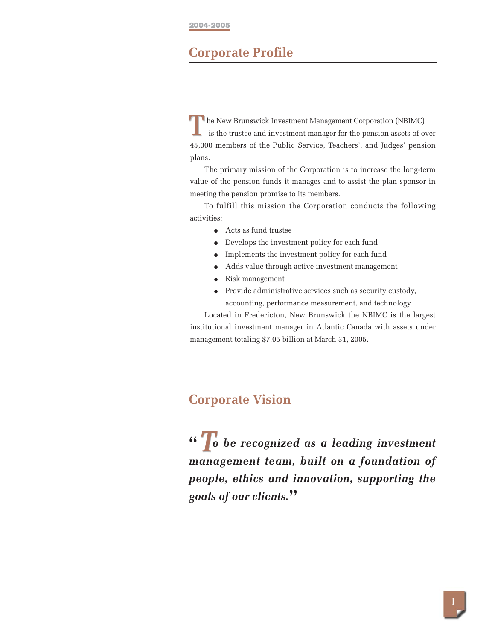#### **2004-2005**

### **Corporate Profile**

**T** he New Brunswick Investment Management Corporation (NBIMC) is the trustee and investment manager for the pension assets of over 45,000 members of the Public Service, Teachers', and Judges' pension plans. **T**

The primary mission of the Corporation is to increase the long-term value of the pension funds it manages and to assist the plan sponsor in meeting the pension promise to its members.

To fulfill this mission the Corporation conducts the following activities:

- Acts as fund trustee
- Develops the investment policy for each fund
- Implements the investment policy for each fund
- Adds value through active investment management
- Risk management
- Provide administrative services such as security custody, accounting, performance measurement, and technology

Located in Fredericton, New Brunswick the NBIMC is the largest institutional investment manager in Atlantic Canada with assets under management totaling \$7.05 billion at March 31, 2005.

## **Corporate Vision**

**"** *o be recognized as a leading investment T management team, built on a foundation of people, ethics and innovation, supporting the goals of our clients.***"**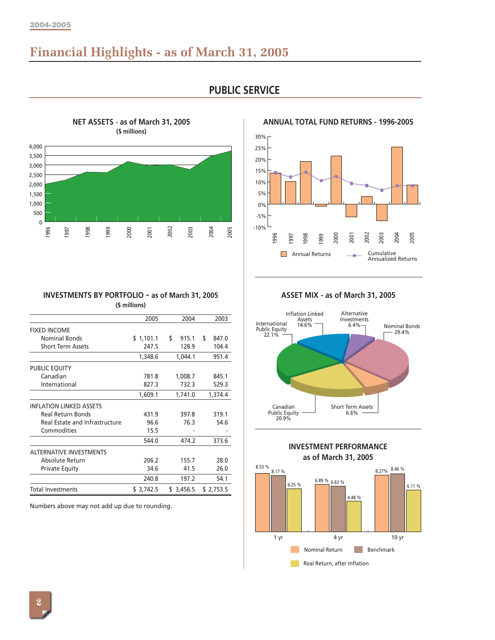# **Financial Highlights - as of March 31, 2005**



**PUBLIC SERVICE**

-10% -5% 0% 5% 10% 15% 20% 25% 30% 1996 1997 1998 1999 2000 2001 2002 2003 2004 2005 Annual Returns **Cumulative** Annualized Returns

**ANNUAL TOTAL FUND RETURNS - 1996-2005**

**INVESTMENTS BY PORTFOLIO - as of March 31, 2005 (\$ millions)**

|                                | 2005       | 2004        | 2003        |
|--------------------------------|------------|-------------|-------------|
| <b>FIXED INCOME</b>            |            |             |             |
| <b>Nominal Bonds</b>           | \$1,101.1  | \$<br>915.1 | \$<br>847.0 |
| <b>Short Term Assets</b>       | 247.5      | 128.9       | 104.4       |
|                                | 1,348.6    | 1,044.1     | 951.4       |
| PUBLIC EQUITY                  |            |             |             |
| Canadian                       | 781.8      | 1,008.7     | 845.1       |
| International                  | 827.3      | 732.3       | 529.3       |
|                                | 1,609.1    | 1,741.0     | 1,374.4     |
| <b>INFLATION LINKED ASSETS</b> |            |             |             |
| <b>Real Return Bonds</b>       | 431.9      | 397.8       | 319.1       |
| Real Estate and Infrastructure | 96.6       | 76.3        | 54.6        |
| Commodities                    | 15.5       |             |             |
|                                | 544.0      | 474.2       | 373.6       |
| <b>ALTERNATIVE INVESTMENTS</b> |            |             |             |
| Absolute Return                | 206.2      | 155.7       | 28.0        |
| <b>Private Equity</b>          | 34.6       | 41.5        | 26.0        |
|                                | 240.8      | 197.2       | 54.1        |
| Total Investments              | \$ 3,742.5 | \$ 3,456.5  | \$2,753.5   |

Numbers above may not add up due to rounding.

**ASSET MIX - as of March 31, 2005**





**INVESTMENT PERFORMANCE**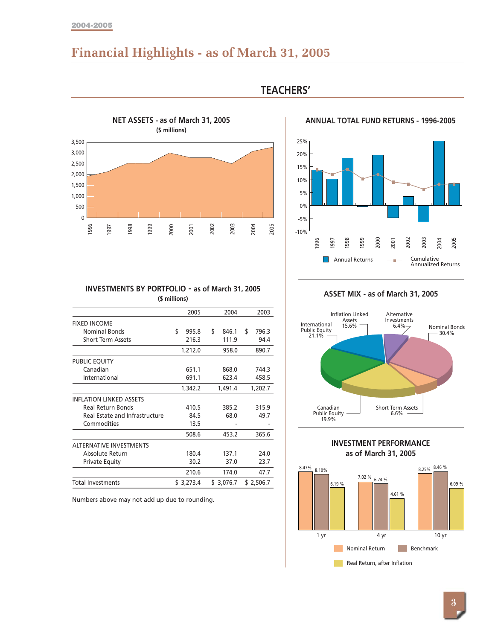#### **2004-2005**

# **Financial Highlights - as of March 31, 2005**



### **TEACHERS'**

#### **ANNUAL TOTAL FUND RETURNS - 1996-2005**



#### **INVESTMENTS BY PORTFOLIO - as of March 31, 2005 (\$ millions)**

|                                | 2005        | 2004        | 2003        |
|--------------------------------|-------------|-------------|-------------|
| <b>FIXED INCOME</b>            |             |             |             |
| Nominal Bonds                  | \$<br>995.8 | \$<br>846.1 | \$<br>796.3 |
| <b>Short Term Assets</b>       | 216.3       | 111.9       | 94.4        |
|                                | 1,212.0     | 958.0       | 890.7       |
| PUBLIC EQUITY                  |             |             |             |
| Canadian                       | 651.1       | 868.0       | 744.3       |
| International                  | 691.1       | 623.4       | 458.5       |
|                                | 1,342.2     | 1,491.4     | 1,202.7     |
| <b>INFLATION LINKED ASSETS</b> |             |             |             |
| <b>Real Return Bonds</b>       | 410.5       | 385.2       | 315.9       |
| Real Estate and Infrastructure | 84.5        | 68.0        | 49.7        |
| Commodities                    | 13.5        |             |             |
|                                | 508.6       | 453.2       | 365.6       |
| <b>ALTERNATIVE INVESTMENTS</b> |             |             |             |
| Absolute Return                | 180.4       | 137.1       | 24.0        |
| <b>Private Equity</b>          | 30.2        | 37.0        | 23.7        |
|                                | 210.6       | 174.0       | 47.7        |
| Total Investments              | \$3,273.4   | \$ 3,076.7  | \$ 2,506.7  |

Numbers above may not add up due to rounding.

**ASSET MIX - as of March 31, 2005**





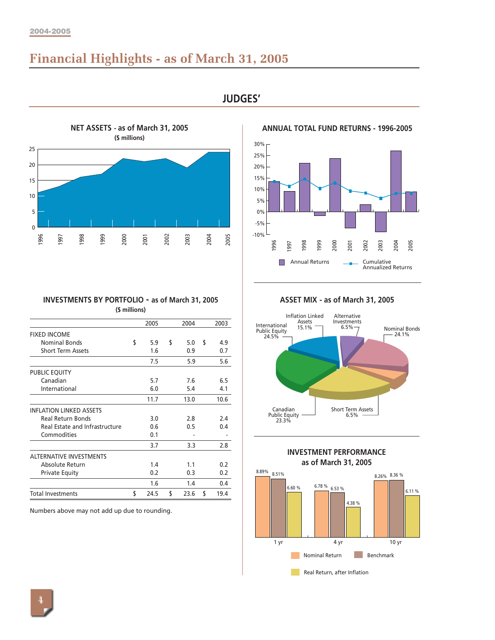# **Financial Highlights - as of March 31, 2005**



**JUDGES'**



#### **ANNUAL TOTAL FUND RETURNS - 1996-2005**

**INVESTMENTS BY PORTFOLIO - as of March 31, 2005 (\$ millions)**

|                                | 2005       | 2004       | 2003       |
|--------------------------------|------------|------------|------------|
| <b>FIXED INCOME</b>            |            |            |            |
| <b>Nominal Bonds</b>           | \$<br>5.9  | \$<br>5.0  | \$<br>4.9  |
| <b>Short Term Assets</b>       | 1.6        | 0.9        | 0.7        |
|                                | 7.5        | 5.9        | 5.6        |
| PUBLIC EQUITY                  |            |            |            |
| Canadian                       | 5.7        | 7.6        | 6.5        |
| International                  | 6.0        | 5.4        | 4.1        |
|                                | 11.7       | 13.0       | 10.6       |
| <b>INFLATION LINKED ASSETS</b> |            |            |            |
| <b>Real Return Bonds</b>       | 3.0        | 2.8        | 2.4        |
| Real Estate and Infrastructure | 0.6        | 0.5        | 0.4        |
| Commodities                    | 0.1        |            |            |
|                                | 3.7        | 3.3        | 2.8        |
| <b>ALTERNATIVE INVESTMENTS</b> |            |            |            |
| Absolute Return                | 1.4        | 1.1        | 0.2        |
| <b>Private Equity</b>          | 0.2        | 0.3        | 0.2        |
|                                | 1.6        | 1.4        | 0.4        |
| <b>Total Investments</b>       | \$<br>24.5 | \$<br>23.6 | \$<br>19.4 |

Numbers above may not add up due to rounding.

**ASSET MIX - as of March 31, 2005**





**INVESTMENT PERFORMANCE**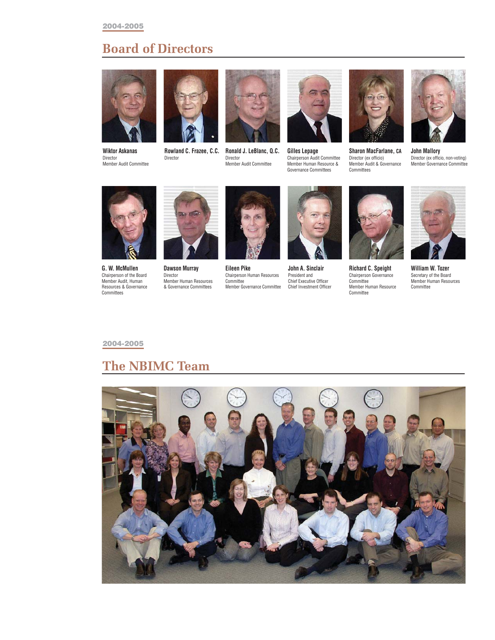# **Board of Directors**



**Wiktor Askanas** Director Member Audit Committee



**Rowland C. Frazee, C.C.** Director



**Ronald J. LeBlanc, Q.C.** Director Member Audit Committee



**Gilles Lepage** Chairperson Audit Committee Member Human Resource & Governance Committees



**Sharon MacFarlane, CA** Director (ex officio) Member Audit & Governance Committees



**John Mallory** Director (ex officio, non-voting) Member Governance Committee



**G. W. McMullen** Chairperson of the Board Member Audit, Human Resources & Governance Committees



**Dawson Murray** Director Member Human Resources & Governance Committees



**Eileen Pike** Chairperson Human Resources Committee Member Governance Committee



**John A. Sinclair** President and Chief Executive Officer Chief Investment Officer



**Richard C. Speight** Chairperson Governance **Committee** Member Human Resource Committee



**William W. Tozer** Secretary of the Board Member Human Resources Committee

#### **2004-2005**

# **The NBIMC Team**

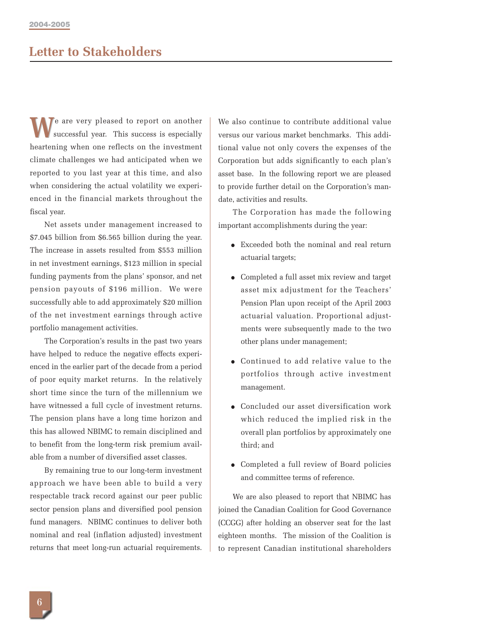# **Letter to Stakeholders**

Te are very pleased to report on another successful year. This success is especially heartening when one reflects on the investment climate challenges we had anticipated when we reported to you last year at this time, and also when considering the actual volatility we experienced in the financial markets throughout the fiscal year.

Net assets under management increased to \$7.045 billion from \$6.565 billion during the year. The increase in assets resulted from \$553 million in net investment earnings, \$123 million in special funding payments from the plans' sponsor, and net pension payouts of \$196 million. We were successfully able to add approximately \$20 million of the net investment earnings through active portfolio management activities.

The Corporation's results in the past two years have helped to reduce the negative effects experienced in the earlier part of the decade from a period of poor equity market returns. In the relatively short time since the turn of the millennium we have witnessed a full cycle of investment returns. The pension plans have a long time horizon and this has allowed NBIMC to remain disciplined and to benefit from the long-term risk premium available from a number of diversified asset classes.

By remaining true to our long-term investment approach we have been able to build a very respectable track record against our peer public sector pension plans and diversified pool pension fund managers. NBIMC continues to deliver both nominal and real (inflation adjusted) investment returns that meet long-run actuarial requirements.

We also continue to contribute additional value<br>successful year. This success is especially<br>versus our various market benchmarks. This additional value not only covers the expenses of the Corporation but adds significantly to each plan's asset base. In the following report we are pleased to provide further detail on the Corporation's mandate, activities and results.

> The Corporation has made the following important accomplishments during the year:

- Exceeded both the nominal and real return actuarial targets;
- Completed a full asset mix review and target asset mix adjustment for the Teachers' Pension Plan upon receipt of the April 2003 actuarial valuation. Proportional adjustments were subsequently made to the two other plans under management;
- Continued to add relative value to the portfolios through active investment management.
- Concluded our asset diversification work which reduced the implied risk in the overall plan portfolios by approximately one third; and
- Completed a full review of Board policies and committee terms of reference.

We are also pleased to report that NBIMC has joined the Canadian Coalition for Good Governance (CCGG) after holding an observer seat for the last eighteen months. The mission of the Coalition is to represent Canadian institutional shareholders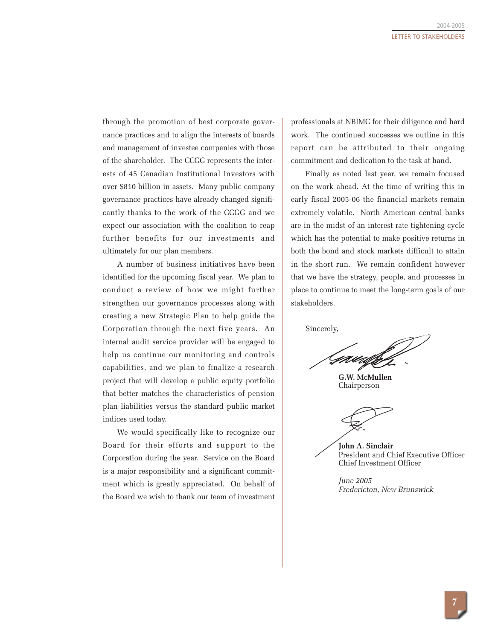through the promotion of best corporate governance practices and to align the interests of boards and management of investee companies with those of the shareholder. The CCGG represents the interests of 45 Canadian Institutional Investors with over \$810 billion in assets. Many public company governance practices have already changed significantly thanks to the work of the CCGG and we expect our association with the coalition to reap further benefits for our investments and ultimately for our plan members.

A number of business initiatives have been identified for the upcoming fiscal year. We plan to conduct a review of how we might further strengthen our governance processes along with creating a new Strategic Plan to help guide the Corporation through the next five years. An internal audit service provider will be engaged to help us continue our monitoring and controls capabilities, and we plan to finalize a research project that will develop a public equity portfolio that better matches the characteristics of pension plan liabilities versus the standard public market indices used today.

We would specifically like to recognize our Board for their efforts and support to the Corporation during the year. Service on the Board is a major responsibility and a significant commitment which is greatly appreciated. On behalf of the Board we wish to thank our team of investment

professionals at NBIMC for their diligence and hard work. The continued successes we outline in this report can be attributed to their ongoing commitment and dedication to the task at hand.

Finally as noted last year, we remain focused on the work ahead. At the time of writing this in early fiscal 2005-06 the financial markets remain extremely volatile. North American central banks are in the midst of an interest rate tightening cycle which has the potential to make positive returns in both the bond and stock markets difficult to attain in the short run. We remain confident however that we have the strategy, people, and processes in place to continue to meet the long-term goals of our stakeholders.

Sincerely,

**G.W. McMullen** Chairperson

**John A. Sinclair** President and Chief Executive Officer Chief Investment Officer

*June 2005 Fredericton, New Brunswick*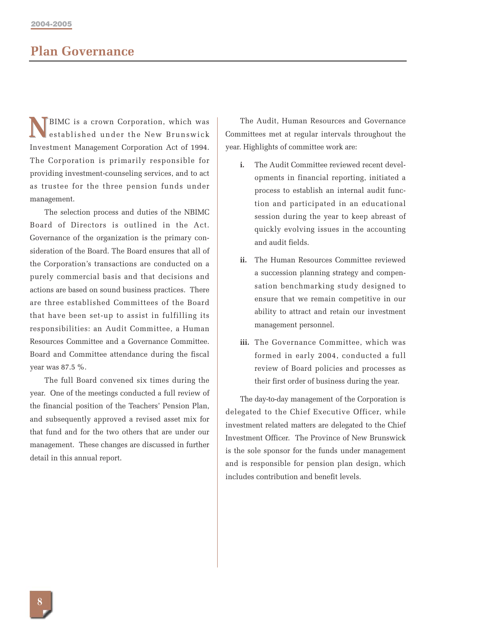## **Plan Governance**

BIMC is a crown Corporation, which was established under the New Brunswick Investment Management Corporation Act of 1994. The Corporation is primarily responsible for providing investment-counseling services, and to act as trustee for the three pension funds under management. **N**

The selection process and duties of the NBIMC Board of Directors is outlined in the Act. Governance of the organization is the primary consideration of the Board. The Board ensures that all of the Corporation's transactions are conducted on a purely commercial basis and that decisions and actions are based on sound business practices. There are three established Committees of the Board that have been set-up to assist in fulfilling its responsibilities: an Audit Committee, a Human Resources Committee and a Governance Committee. Board and Committee attendance during the fiscal year was 87.5 %.

The full Board convened six times during the year. One of the meetings conducted a full review of the financial position of the Teachers' Pension Plan, and subsequently approved a revised asset mix for that fund and for the two others that are under our management. These changes are discussed in further detail in this annual report.

The Audit, Human Resources and Governance Committees met at regular intervals throughout the year. Highlights of committee work are:

- **i.** The Audit Committee reviewed recent developments in financial reporting, initiated a process to establish an internal audit function and participated in an educational session during the year to keep abreast of quickly evolving issues in the accounting and audit fields.
- **ii.** The Human Resources Committee reviewed a succession planning strategy and compensation benchmarking study designed to ensure that we remain competitive in our ability to attract and retain our investment management personnel.
- **iii.** The Governance Committee, which was formed in early 2004, conducted a full review of Board policies and processes as their first order of business during the year.

The day-to-day management of the Corporation is delegated to the Chief Executive Officer, while investment related matters are delegated to the Chief Investment Officer. The Province of New Brunswick is the sole sponsor for the funds under management and is responsible for pension plan design, which includes contribution and benefit levels.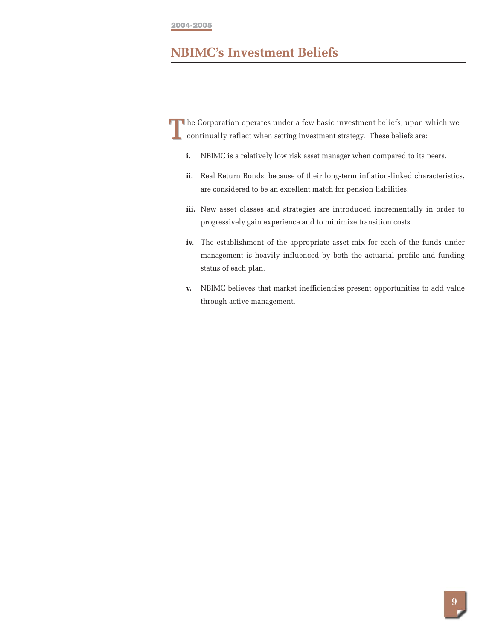#### **2004-2005**

# **NBIMC's Investment Beliefs**

**The Corporation operates under a few basic investment beliefs, upon which we continually reflect when setting investment strategy. These beliefs are:** continually reflect when setting investment strategy. These beliefs are:

- **i.** NBIMC is a relatively low risk asset manager when compared to its peers.
- **ii.** Real Return Bonds, because of their long-term inflation-linked characteristics, are considered to be an excellent match for pension liabilities.
- **iii.** New asset classes and strategies are introduced incrementally in order to progressively gain experience and to minimize transition costs.
- **iv.** The establishment of the appropriate asset mix for each of the funds under management is heavily influenced by both the actuarial profile and funding status of each plan.
- **v.** NBIMC believes that market inefficiencies present opportunities to add value through active management.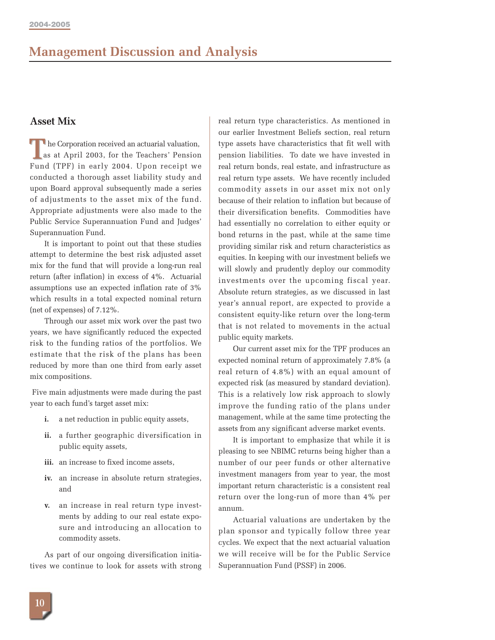### **Asset Mix**

he Corporation received an actuarial valuation, **EXECUTE AS A PRIMID 2003, for the Teachers' Pension**<br> **TEXECUTE:**  $\frac{1}{2000}$  (TRE) Fund (TPF) in early 2004. Upon receipt we conducted a thorough asset liability study and upon Board approval subsequently made a series of adjustments to the asset mix of the fund. Appropriate adjustments were also made to the Public Service Superannuation Fund and Judges' Superannuation Fund.

It is important to point out that these studies attempt to determine the best risk adjusted asset mix for the fund that will provide a long-run real return (after inflation) in excess of 4%. Actuarial assumptions use an expected inflation rate of 3% which results in a total expected nominal return (net of expenses) of 7.12%.

Through our asset mix work over the past two years, we have significantly reduced the expected risk to the funding ratios of the portfolios. We estimate that the risk of the plans has been reduced by more than one third from early asset mix compositions.

Five main adjustments were made during the past year to each fund's target asset mix:

- **i.** a net reduction in public equity assets,
- **ii.** a further geographic diversification in public equity assets,
- **iii.** an increase to fixed income assets,
- **iv.** an increase in absolute return strategies, and
- **v.** an increase in real return type investments by adding to our real estate exposure and introducing an allocation to commodity assets.

As part of our ongoing diversification initiatives we continue to look for assets with strong

real return type characteristics. As mentioned in our earlier Investment Beliefs section, real return type assets have characteristics that fit well with pension liabilities. To date we have invested in real return bonds, real estate, and infrastructure as real return type assets. We have recently included commodity assets in our asset mix not only because of their relation to inflation but because of their diversification benefits. Commodities have had essentially no correlation to either equity or bond returns in the past, while at the same time providing similar risk and return characteristics as equities. In keeping with our investment beliefs we will slowly and prudently deploy our commodity investments over the upcoming fiscal year. Absolute return strategies, as we discussed in last year's annual report, are expected to provide a consistent equity-like return over the long-term that is not related to movements in the actual public equity markets.

Our current asset mix for the TPF produces an expected nominal return of approximately 7.8% (a real return of 4.8%) with an equal amount of expected risk (as measured by standard deviation). This is a relatively low risk approach to slowly improve the funding ratio of the plans under management, while at the same time protecting the assets from any significant adverse market events.

It is important to emphasize that while it is pleasing to see NBIMC returns being higher than a number of our peer funds or other alternative investment managers from year to year, the most important return characteristic is a consistent real return over the long-run of more than 4% per annum.

Actuarial valuations are undertaken by the plan sponsor and typically follow three year cycles. We expect that the next actuarial valuation we will receive will be for the Public Service Superannuation Fund (PSSF) in 2006.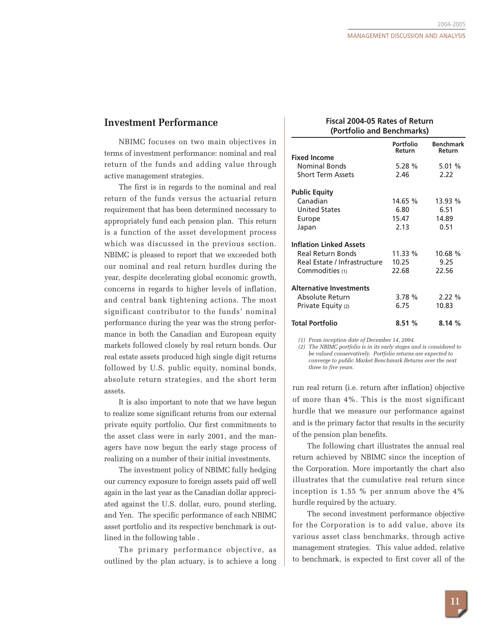#### **Investment Performance**

NBIMC focuses on two main objectives in terms of investment performance: nominal and real return of the funds and adding value through active management strategies.

The first is in regards to the nominal and real return of the funds versus the actuarial return requirement that has been determined necessary to appropriately fund each pension plan. This return is a function of the asset development process which was discussed in the previous section. NBIMC is pleased to report that we exceeded both our nominal and real return hurdles during the year, despite decelerating global economic growth, concerns in regards to higher levels of inflation, and central bank tightening actions. The most significant contributor to the funds' nominal performance during the year was the strong performance in both the Canadian and European equity markets followed closely by real return bonds. Our real estate assets produced high single digit returns followed by U.S. public equity, nominal bonds, absolute return strategies, and the short term assets.

It is also important to note that we have begun to realize some significant returns from our external private equity portfolio. Our first commitments to the asset class were in early 2001, and the managers have now begun the early stage process of realizing on a number of their initial investments.

The investment policy of NBIMC fully hedging our currency exposure to foreign assets paid off well again in the last year as the Canadian dollar appreciated against the U.S. dollar, euro, pound sterling, and Yen. The specific performance of each NBIMC asset portfolio and its respective benchmark is outlined in the following table .

The primary performance objective, as outlined by the plan actuary, is to achieve a long

#### **Fiscal 2004-05 Rates of Return (Portfolio and Benchmarks)**

|                                | Portfolio<br>Return | <b>Benchmark</b><br>Return |
|--------------------------------|---------------------|----------------------------|
| <b>Fixed Income</b>            |                     |                            |
| Nominal Bonds                  | 5.28%               | 5.01%                      |
| <b>Short Term Assets</b>       | 2.46                | 2.22                       |
| <b>Public Equity</b>           |                     |                            |
| Canadian                       | 14.65 %             | 13.93 %                    |
| <b>United States</b>           | 6.80                | 6.51                       |
| Europe                         | 15.47               | 14.89                      |
| Japan                          | 2.13                | 0.51                       |
| <b>Inflation Linked Assets</b> |                     |                            |
| Real Return Bonds              | 11.33 %             | 10.68 %                    |
| Real Estate / Infrastructure   | 10.25               | 9.25                       |
| Commodities (1)                | 22.68               | 22.56                      |
| <b>Alternative Investments</b> |                     |                            |
| Absolute Return                | 3.78%               | 2.22%                      |
| Private Equity (2)             | 6.75                | 10.83                      |
| <b>Total Portfolio</b>         | 8.51%               | 8.14%                      |

*(1) From inception date of December 14, 2004.*

*(2) The NBIMC portfolio is in its early stages and is considered to be valued conservatively. Portfolio returns are expected to converge to public Market Benchmark Returns over the next three to five years.*

run real return (i.e. return after inflation) objective of more than 4%. This is the most significant hurdle that we measure our performance against and is the primary factor that results in the security of the pension plan benefits.

The following chart illustrates the annual real return achieved by NBIMC since the inception of the Corporation. More importantly the chart also illustrates that the cumulative real return since inception is 1.55 % per annum above the 4% hurdle required by the actuary.

The second investment performance objective for the Corporation is to add value, above its various asset class benchmarks, through active management strategies. This value added, relative to benchmark, is expected to first cover all of the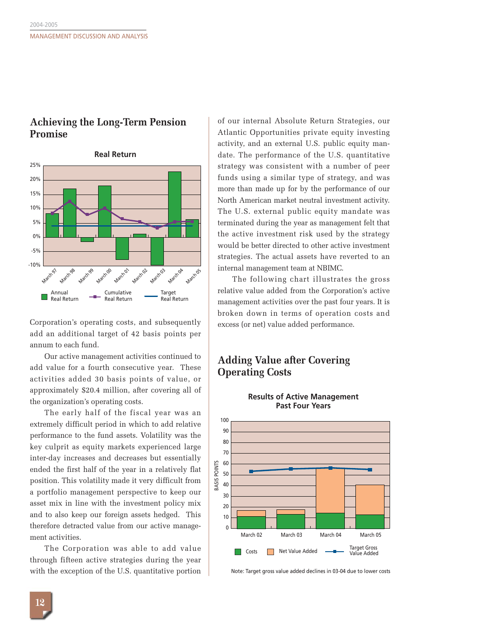### **Achieving the Long-Term Pension Promise**



Corporation's operating costs, and subsequently add an additional target of 42 basis points per annum to each fund.

Our active management activities continued to add value for a fourth consecutive year. These activities added 30 basis points of value, or approximately \$20.4 million, after covering all of the organization's operating costs.

The early half of the fiscal year was an extremely difficult period in which to add relative performance to the fund assets. Volatility was the key culprit as equity markets experienced large inter-day increases and decreases but essentially ended the first half of the year in a relatively flat position. This volatility made it very difficult from a portfolio management perspective to keep our asset mix in line with the investment policy mix and to also keep our foreign assets hedged. This therefore detracted value from our active management activities.

The Corporation was able to add value through fifteen active strategies during the year with the exception of the U.S. quantitative portion of our internal Absolute Return Strategies, our Atlantic Opportunities private equity investing activity, and an external U.S. public equity mandate. The performance of the U.S. quantitative strategy was consistent with a number of peer funds using a similar type of strategy, and was more than made up for by the performance of our North American market neutral investment activity. The U.S. external public equity mandate was terminated during the year as management felt that the active investment risk used by the strategy would be better directed to other active investment strategies. The actual assets have reverted to an internal management team at NBIMC.

The following chart illustrates the gross relative value added from the Corporation's active management activities over the past four years. It is broken down in terms of operation costs and excess (or net) value added performance.

### **Adding Value after Covering Operating Costs**



**Results of Active Management Past Four Years**

Note: Target gross value added declines in 03-04 due to lower costs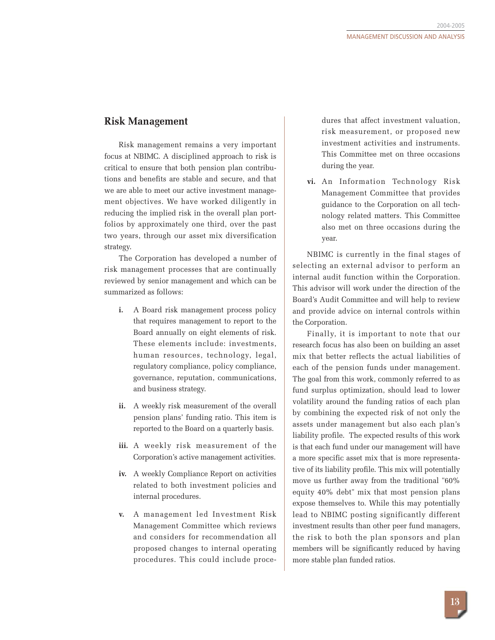### **Risk Management**

Risk management remains a very important focus at NBIMC. A disciplined approach to risk is critical to ensure that both pension plan contributions and benefits are stable and secure, and that we are able to meet our active investment management objectives. We have worked diligently in reducing the implied risk in the overall plan portfolios by approximately one third, over the past two years, through our asset mix diversification strategy.

The Corporation has developed a number of risk management processes that are continually reviewed by senior management and which can be summarized as follows:

- **i.** A Board risk management process policy that requires management to report to the Board annually on eight elements of risk. These elements include: investments, human resources, technology, legal, regulatory compliance, policy compliance, governance, reputation, communications, and business strategy.
- **ii.** A weekly risk measurement of the overall pension plans' funding ratio. This item is reported to the Board on a quarterly basis.
- **iii.** A weekly risk measurement of the Corporation's active management activities.
- **iv.** A weekly Compliance Report on activities related to both investment policies and internal procedures.
- **v.** A management led Investment Risk Management Committee which reviews and considers for recommendation all proposed changes to internal operating procedures. This could include proce-

dures that affect investment valuation, risk measurement, or proposed new investment activities and instruments. This Committee met on three occasions during the year.

**vi.** An Information Technology Risk Management Committee that provides guidance to the Corporation on all technology related matters. This Committee also met on three occasions during the year.

NBIMC is currently in the final stages of selecting an external advisor to perform an internal audit function within the Corporation. This advisor will work under the direction of the Board's Audit Committee and will help to review and provide advice on internal controls within the Corporation.

Finally, it is important to note that our research focus has also been on building an asset mix that better reflects the actual liabilities of each of the pension funds under management. The goal from this work, commonly referred to as fund surplus optimization, should lead to lower volatility around the funding ratios of each plan by combining the expected risk of not only the assets under management but also each plan's liability profile. The expected results of this work is that each fund under our management will have a more specific asset mix that is more representative of its liability profile. This mix will potentially move us further away from the traditional "60% equity 40% debt" mix that most pension plans expose themselves to. While this may potentially lead to NBIMC posting significantly different investment results than other peer fund managers, the risk to both the plan sponsors and plan members will be significantly reduced by having more stable plan funded ratios.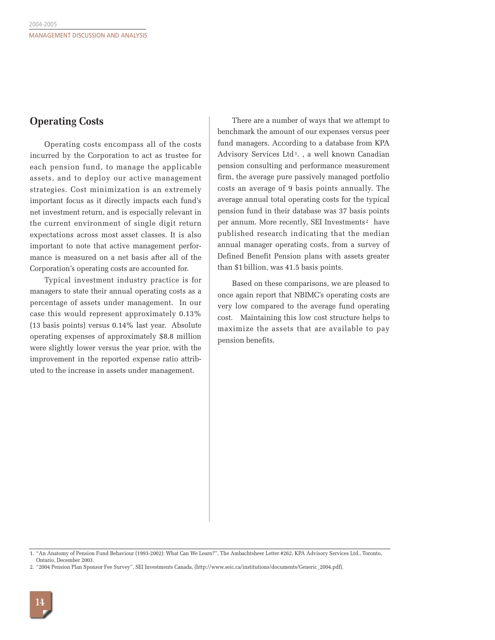### **Operating Costs**

Operating costs encompass all of the costs incurred by the Corporation to act as trustee for each pension fund, to manage the applicable assets, and to deploy our active management strategies. Cost minimization is an extremely important focus as it directly impacts each fund's net investment return, and is especially relevant in the current environment of single digit return expectations across most asset classes. It is also important to note that active management performance is measured on a net basis after all of the Corporation's operating costs are accounted for.

Typical investment industry practice is for managers to state their annual operating costs as a percentage of assets under management. In our case this would represent approximately 0.13% (13 basis points) versus 0.14% last year. Absolute operating expenses of approximately \$8.8 million were slightly lower versus the year prior, with the improvement in the reported expense ratio attributed to the increase in assets under management.

There are a number of ways that we attempt to benchmark the amount of our expenses versus peer fund managers. According to a database from KPA Advisory Services Ltd<sup>1</sup>., a well known Canadian pension consulting and performance measurement firm, the average pure passively managed portfolio costs an average of 9 basis points annually. The average annual total operating costs for the typical pension fund in their database was 37 basis points per annum. More recently, SEI Investments<sup>2</sup> have published research indicating that the median annual manager operating costs, from a survey of Defined Benefit Pension plans with assets greater than \$1 billion, was 41.5 basis points.

Based on these comparisons, we are pleased to once again report that NBIMC's operating costs are very low compared to the average fund operating cost. Maintaining this low cost structure helps to maximize the assets that are available to pay pension benefits.

<sup>1. &</sup>quot;An Anatomy of Pension Fund Behaviour (1993-2002): What Can We Learn?", The Ambachtsheer Letter #262, KPA Advisory Services Ltd., Toronto, Ontario, December 2003.

<sup>2. &</sup>quot;2004 Pension Plan Sponsor Fee Survey", SEI Investments Canada, (http://www.seic.ca/institutions/documents/Generic\_2004.pdf).